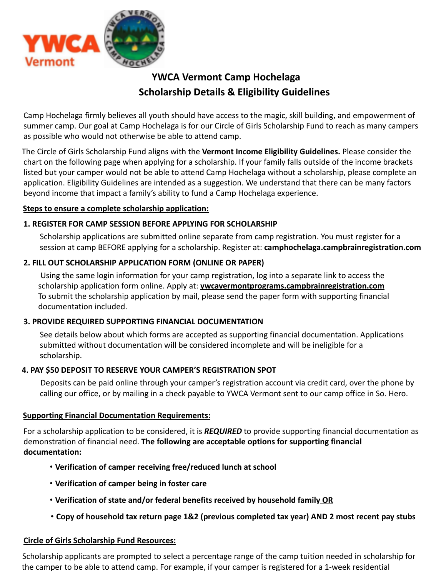

# **YWCA Vermont Camp Hochelaga Scholarship Details & Eligibility Guidelines**

Camp Hochelaga firmly believes all youth should have access to the magic, skill building, and empowerment of summer camp. Our goal at Camp Hochelaga is for our Circle of Girls Scholarship Fund to reach as many campers as possible who would not otherwise be able to attend camp.

The Circle of Girls Scholarship Fund aligns with the **Vermont Income Eligibility Guidelines.** Please consider the chart on the following page when applying for a scholarship. If your family falls outside of the income brackets listed but your camper would not be able to attend Camp Hochelaga without a scholarship, please complete an application. Eligibility Guidelines are intended as a suggestion. We understand that there can be many factors beyond income that impact a family's ability to fund a Camp Hochelaga experience.

#### **Steps to ensure a complete scholarship application:**

#### **1. REGISTER FOR CAMP SESSION BEFORE APPLYING FOR SCHOLARSHIP**

Scholarship applications are submitted online separate from camp registration. You must register for a session at camp BEFORE applying for a scholarship. Register at: **camphochelaga.campbrainregistration.com**

#### **2. FILL OUT SCHOLARSHIP APPLICATION FORM (ONLINE OR PAPER)**

Using the same login information for your camp registration, log into a separate link to access the scholarship application form online. Apply at: **ywcavermontprograms.campbrainregistration.com** To submit the scholarship application by mail, please send the paper form with supporting financial documentation included.

#### **3. PROVIDE REQUIRED SUPPORTING FINANCIAL DOCUMENTATION**

See details below about which forms are accepted as supporting financial documentation. Applications submitted without documentation will be considered incomplete and will be ineligible for a scholarship.

#### **4. PAY \$50 DEPOSIT TO RESERVE YOUR CAMPER'S REGISTRATION SPOT**

Deposits can be paid online through your camper's registration account via credit card, over the phone by calling our office, or by mailing in a check payable to YWCA Vermont sent to our camp office in So. Hero.

#### **Supporting Financial Documentation Requirements:**

For a scholarship application to be considered, it is *REQUIRED* to provide supporting financial documentation as demonstration of financial need. **The following are acceptable options for supporting financial documentation:**

- **Verification of camper receiving free/reduced lunch at school**
- **Verification of camper being in foster care**
- **Verification of state and/or federal benefits received by household family OR**
- **Copy of household tax return page 1&2 (previous completed tax year) AND 2 most recent pay stubs**

#### **Circle of Girls Scholarship Fund Resources:**

Scholarship applicants are prompted to select a percentage range of the camp tuition needed in scholarship for the camper to be able to attend camp. For example, if your camper is registered for a 1-week residential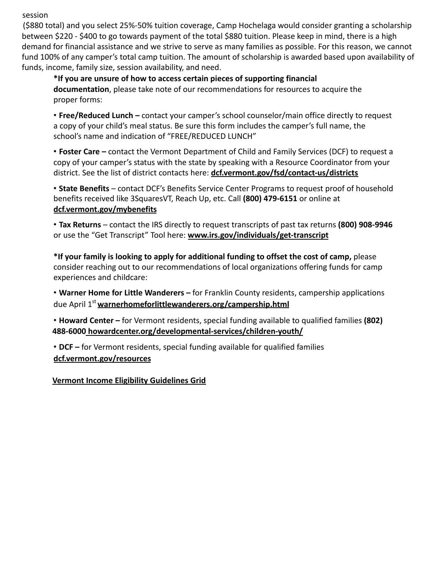session

(\$880 total) and you select 25%-50% tuition coverage, Camp Hochelaga would consider granting a scholarship between \$220 - \$400 to go towards payment of the total \$880 tuition. Please keep in mind, there is a high demand for financial assistance and we strive to serve as many families as possible. For this reason, we cannot fund 100% of any camper's total camp tuition. The amount of scholarship is awarded based upon availability of funds, income, family size, session availability, and need.

**\*If you are unsure of how to access certain pieces of supporting financial documentation**, please take note of our recommendations for resources to acquire the proper forms:

• **Free/Reduced Lunch –** contact your camper's school counselor/main office directly to request a copy of your child's meal status. Be sure this form includes the camper's full name, the school's name and indication of "FREE/REDUCED LUNCH"

• **Foster Care –** contact the Vermont Department of Child and Family Services (DCF) to request a copy of your camper's status with the state by speaking with a Resource Coordinator from your district. See the list of district contacts here: **dcf.vermont.gov/fsd/contact-us/districts**

• **State Benefits** – contact DCF's Benefits Service Center Programs to request proof of household benefits received like 3SquaresVT, Reach Up, etc. Call **(800) 479-6151** or online at **dcf.vermont.gov/mybenefits**

• **Tax Returns** – contact the IRS directly to request transcripts of past tax returns **(800) 908-9946** or use the "Get Transcript" Tool here: **www.irs.gov/individuals/get-transcript**

**\*If your family is looking to apply for additional funding to offset the cost of camp,** please consider reaching out to our recommendations of local organizations offering funds for camp experiences and childcare:

• **Warner Home for Little Wanderers –** for Franklin County residents, campership applications due April 1<sup>st</sup> warnerhomeforlittlewanderers.org/campership.html

• **Howard Center –** for Vermont residents, special funding available to qualified families **(802) 488-6000 howardcenter.org/developmental-services/children-youth/**

• **DCF –** for Vermont residents, special funding available for qualified families **dcf.vermont.gov/resources**

**Vermont Income Eligibility Guidelines Grid**